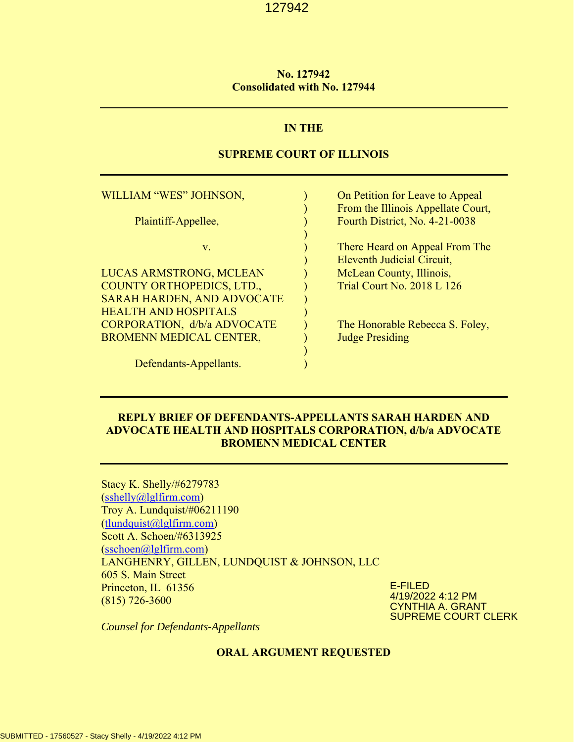## **No. 127942 Consolidated with No. 127944**

# **IN THE**

# **SUPREME COURT OF ILLINOIS**

| WILLIAM "WES" JOHNSON,                                                | On Petition for Leave to Appeal<br>From the Illinois Appellate Court, |
|-----------------------------------------------------------------------|-----------------------------------------------------------------------|
| Plaintiff-Appellee,                                                   | Fourth District, No. 4-21-0038                                        |
| $V_{\cdot}$                                                           | There Heard on Appeal From The<br>Eleventh Judicial Circuit,          |
| LUCAS ARMSTRONG, MCLEAN                                               | McLean County, Illinois,                                              |
| <b>COUNTY ORTHOPEDICS, LTD.,</b><br><b>SARAH HARDEN, AND ADVOCATE</b> | <b>Trial Court No. 2018 L 126</b>                                     |
| <b>HEALTH AND HOSPITALS</b>                                           |                                                                       |
| CORPORATION, d/b/a ADVOCATE                                           | The Honorable Rebecca S. Foley,                                       |
| <b>BROMENN MEDICAL CENTER,</b>                                        | <b>Judge Presiding</b>                                                |
| Defendants-Appellants.                                                |                                                                       |

# **REPLY BRIEF OF DEFENDANTS-APPELLANTS SARAH HARDEN AND ADVOCATE HEALTH AND HOSPITALS CORPORATION, d/b/a ADVOCATE BROMENN MEDICAL CENTER**

Stacy K. Shelly/#6279783 (sshelly@lglfirm.com) Troy A. Lundquist/#06211190  $(t$ lundquist $(a)$ lglfirm.com) Scott A. Schoen/#6313925 (sschoen@lglfirm.com) LANGHENRY, GILLEN, LUNDQUIST & JOHNSON, LLC 605 S. Main Street Princeton, IL 61356 (815) 726-3600

E-FILED 4/19/2022 4:12 PM CYNTHIA A. GRANT SUPREME COURT CLERK

*Counsel for Defendants-Appellants* 

#### **ORAL ARGUMENT REQUESTED**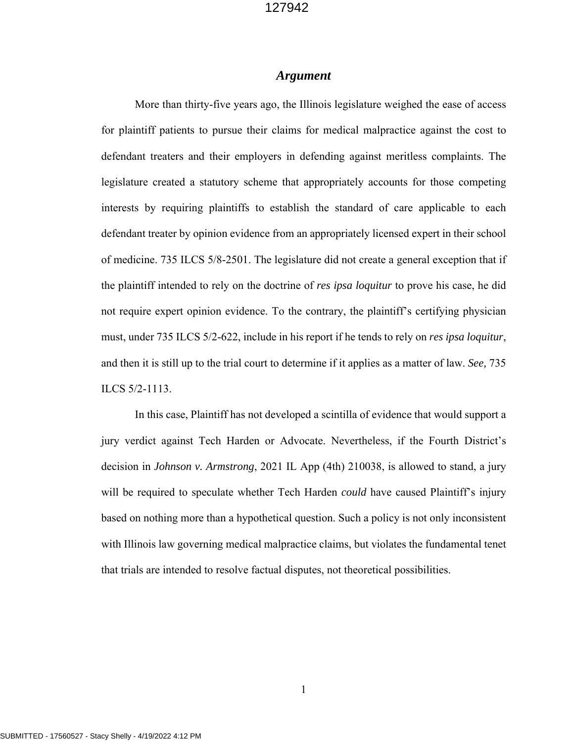# *Argument*

More than thirty-five years ago, the Illinois legislature weighed the ease of access for plaintiff patients to pursue their claims for medical malpractice against the cost to defendant treaters and their employers in defending against meritless complaints. The legislature created a statutory scheme that appropriately accounts for those competing interests by requiring plaintiffs to establish the standard of care applicable to each defendant treater by opinion evidence from an appropriately licensed expert in their school of medicine. 735 ILCS 5/8-2501. The legislature did not create a general exception that if the plaintiff intended to rely on the doctrine of *res ipsa loquitur* to prove his case, he did not require expert opinion evidence. To the contrary, the plaintiff's certifying physician must, under 735 ILCS 5/2-622, include in his report if he tends to rely on *res ipsa loquitur*, and then it is still up to the trial court to determine if it applies as a matter of law. *See,* 735 ILCS 5/2-1113.

In this case, Plaintiff has not developed a scintilla of evidence that would support a jury verdict against Tech Harden or Advocate. Nevertheless, if the Fourth District's decision in *Johnson v. Armstrong*, 2021 IL App (4th) 210038, is allowed to stand, a jury will be required to speculate whether Tech Harden *could* have caused Plaintiff's injury based on nothing more than a hypothetical question. Such a policy is not only inconsistent with Illinois law governing medical malpractice claims, but violates the fundamental tenet that trials are intended to resolve factual disputes, not theoretical possibilities.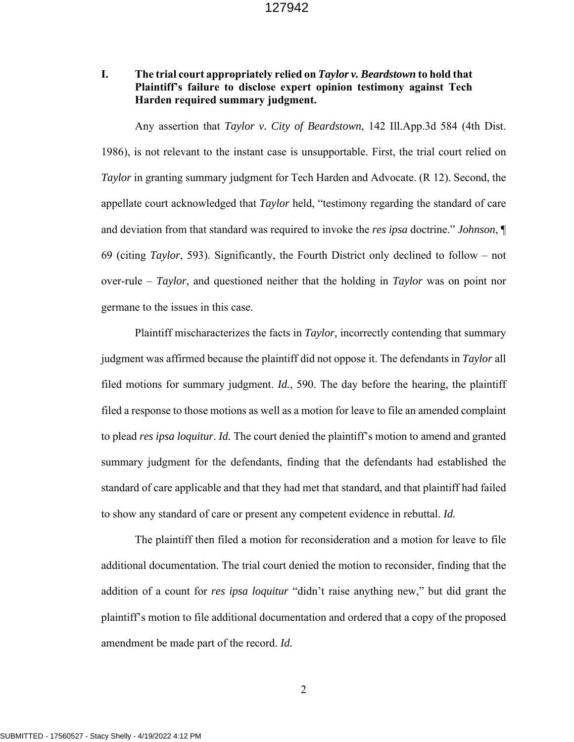# **I. The trial court appropriately relied on** *Taylor v. Beardstown* **to hold that Plaintiff's failure to disclose expert opinion testimony against Tech Harden required summary judgment.**

Any assertion that *Taylor v. City of Beardstown*, 142 Ill.App.3d 584 (4th Dist. 1986), is not relevant to the instant case is unsupportable. First, the trial court relied on *Taylor* in granting summary judgment for Tech Harden and Advocate. (R 12). Second, the appellate court acknowledged that *Taylor* held, "testimony regarding the standard of care and deviation from that standard was required to invoke the *res ipsa* doctrine." *Johnson*, ¶ 69 (citing *Taylor*, 593). Significantly, the Fourth District only declined to follow – not over-rule – *Taylor*, and questioned neither that the holding in *Taylor* was on point nor germane to the issues in this case.

Plaintiff mischaracterizes the facts in *Taylor,* incorrectly contending that summary judgment was affirmed because the plaintiff did not oppose it. The defendants in *Taylor* all filed motions for summary judgment. *Id.*, 590. The day before the hearing, the plaintiff filed a response to those motions as well as a motion for leave to file an amended complaint to plead *res ipsa loquitur*. *Id.* The court denied the plaintiff's motion to amend and granted summary judgment for the defendants, finding that the defendants had established the standard of care applicable and that they had met that standard, and that plaintiff had failed to show any standard of care or present any competent evidence in rebuttal. *Id.*

The plaintiff then filed a motion for reconsideration and a motion for leave to file additional documentation. The trial court denied the motion to reconsider, finding that the addition of a count for *res ipsa loquitur* "didn't raise anything new," but did grant the plaintiff's motion to file additional documentation and ordered that a copy of the proposed amendment be made part of the record. *Id.*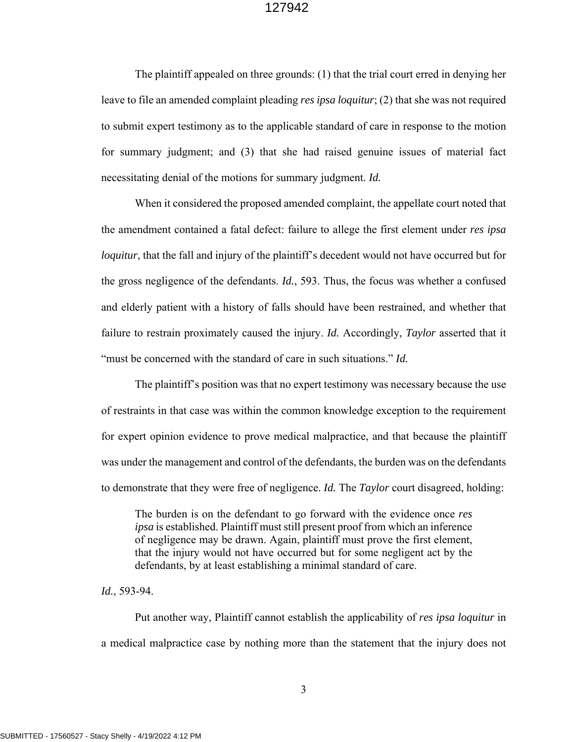The plaintiff appealed on three grounds: (1) that the trial court erred in denying her leave to file an amended complaint pleading *res ipsa loquitur*; (2) that she was not required to submit expert testimony as to the applicable standard of care in response to the motion for summary judgment; and (3) that she had raised genuine issues of material fact necessitating denial of the motions for summary judgment. *Id.*

When it considered the proposed amended complaint, the appellate court noted that the amendment contained a fatal defect: failure to allege the first element under *res ipsa loquitur*, that the fall and injury of the plaintiff's decedent would not have occurred but for the gross negligence of the defendants. *Id.*, 593. Thus, the focus was whether a confused and elderly patient with a history of falls should have been restrained, and whether that failure to restrain proximately caused the injury. *Id.* Accordingly, *Taylor* asserted that it "must be concerned with the standard of care in such situations." *Id.*

The plaintiff's position was that no expert testimony was necessary because the use of restraints in that case was within the common knowledge exception to the requirement for expert opinion evidence to prove medical malpractice, and that because the plaintiff was under the management and control of the defendants, the burden was on the defendants to demonstrate that they were free of negligence. *Id.* The *Taylor* court disagreed, holding:

The burden is on the defendant to go forward with the evidence once *res ipsa* is established. Plaintiff must still present proof from which an inference of negligence may be drawn. Again, plaintiff must prove the first element, that the injury would not have occurred but for some negligent act by the defendants, by at least establishing a minimal standard of care.

*Id.*, 593-94.

Put another way, Plaintiff cannot establish the applicability of *res ipsa loquitur* in a medical malpractice case by nothing more than the statement that the injury does not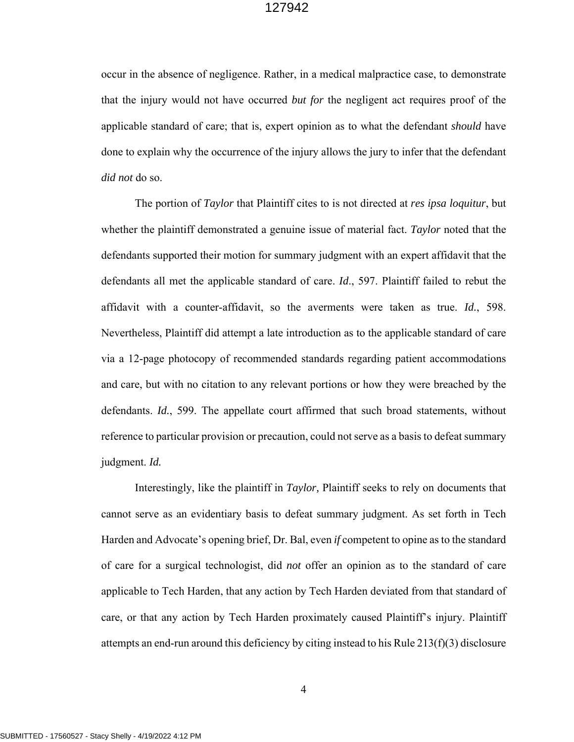occur in the absence of negligence. Rather, in a medical malpractice case, to demonstrate that the injury would not have occurred *but for* the negligent act requires proof of the applicable standard of care; that is, expert opinion as to what the defendant *should* have done to explain why the occurrence of the injury allows the jury to infer that the defendant *did not* do so.

The portion of *Taylor* that Plaintiff cites to is not directed at *res ipsa loquitur*, but whether the plaintiff demonstrated a genuine issue of material fact. *Taylor* noted that the defendants supported their motion for summary judgment with an expert affidavit that the defendants all met the applicable standard of care. *Id*., 597. Plaintiff failed to rebut the affidavit with a counter-affidavit, so the averments were taken as true. *Id.*, 598. Nevertheless, Plaintiff did attempt a late introduction as to the applicable standard of care via a 12-page photocopy of recommended standards regarding patient accommodations and care, but with no citation to any relevant portions or how they were breached by the defendants. *Id.*, 599. The appellate court affirmed that such broad statements, without reference to particular provision or precaution, could not serve as a basis to defeat summary judgment. *Id.* 

Interestingly, like the plaintiff in *Taylor,* Plaintiff seeks to rely on documents that cannot serve as an evidentiary basis to defeat summary judgment. As set forth in Tech Harden and Advocate's opening brief, Dr. Bal, even *if* competent to opine as to the standard of care for a surgical technologist, did *not* offer an opinion as to the standard of care applicable to Tech Harden, that any action by Tech Harden deviated from that standard of care, or that any action by Tech Harden proximately caused Plaintiff's injury. Plaintiff attempts an end-run around this deficiency by citing instead to his Rule  $213(f)(3)$  disclosure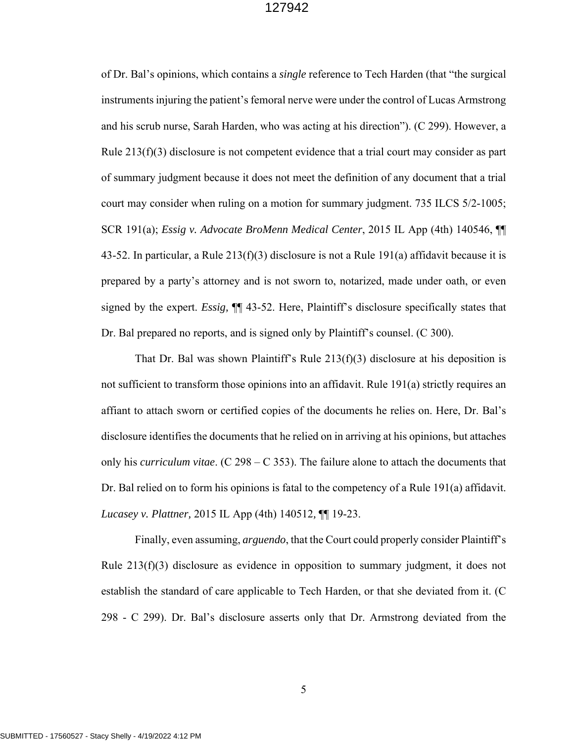of Dr. Bal's opinions, which contains a *single* reference to Tech Harden (that "the surgical instruments injuring the patient's femoral nerve were under the control of Lucas Armstrong and his scrub nurse, Sarah Harden, who was acting at his direction"). (C 299). However, a Rule 213(f)(3) disclosure is not competent evidence that a trial court may consider as part of summary judgment because it does not meet the definition of any document that a trial court may consider when ruling on a motion for summary judgment. 735 ILCS 5/2-1005; SCR 191(a); *Essig v. Advocate BroMenn Medical Center*, 2015 IL App (4th) 140546, ¶¶ 43-52. In particular, a Rule 213(f)(3) disclosure is not a Rule 191(a) affidavit because it is prepared by a party's attorney and is not sworn to, notarized, made under oath, or even signed by the expert. *Essig,* ¶¶ 43-52. Here, Plaintiff's disclosure specifically states that Dr. Bal prepared no reports, and is signed only by Plaintiff's counsel. (C 300).

That Dr. Bal was shown Plaintiff's Rule  $213(f)(3)$  disclosure at his deposition is not sufficient to transform those opinions into an affidavit. Rule 191(a) strictly requires an affiant to attach sworn or certified copies of the documents he relies on. Here, Dr. Bal's disclosure identifies the documents that he relied on in arriving at his opinions, but attaches only his *curriculum vitae*. (C 298 – C 353). The failure alone to attach the documents that Dr. Bal relied on to form his opinions is fatal to the competency of a Rule 191(a) affidavit. *Lucasey v. Plattner,* 2015 IL App (4th) 140512*,* ¶¶ 19-23.

Finally, even assuming, *arguendo*, that the Court could properly consider Plaintiff's Rule 213(f)(3) disclosure as evidence in opposition to summary judgment, it does not establish the standard of care applicable to Tech Harden, or that she deviated from it. (C 298 - C 299). Dr. Bal's disclosure asserts only that Dr. Armstrong deviated from the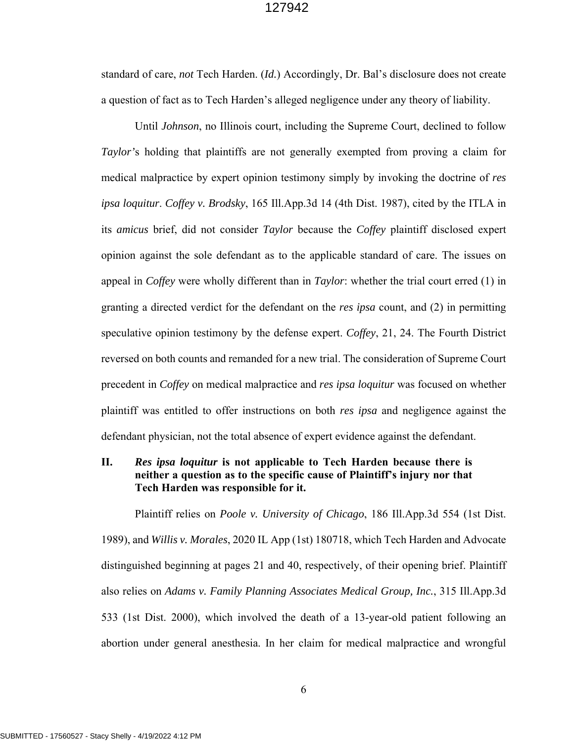standard of care, *not* Tech Harden. (*Id.*) Accordingly, Dr. Bal's disclosure does not create a question of fact as to Tech Harden's alleged negligence under any theory of liability.

Until *Johnson*, no Illinois court, including the Supreme Court, declined to follow *Taylor'*s holding that plaintiffs are not generally exempted from proving a claim for medical malpractice by expert opinion testimony simply by invoking the doctrine of *res ipsa loquitur*. *Coffey v. Brodsky*, 165 Ill.App.3d 14 (4th Dist. 1987), cited by the ITLA in its *amicus* brief, did not consider *Taylor* because the *Coffey* plaintiff disclosed expert opinion against the sole defendant as to the applicable standard of care. The issues on appeal in *Coffey* were wholly different than in *Taylor*: whether the trial court erred (1) in granting a directed verdict for the defendant on the *res ipsa* count, and (2) in permitting speculative opinion testimony by the defense expert. *Coffey*, 21, 24. The Fourth District reversed on both counts and remanded for a new trial. The consideration of Supreme Court precedent in *Coffey* on medical malpractice and *res ipsa loquitur* was focused on whether plaintiff was entitled to offer instructions on both *res ipsa* and negligence against the defendant physician, not the total absence of expert evidence against the defendant.

# **II.** *Res ipsa loquitur* **is not applicable to Tech Harden because there is neither a question as to the specific cause of Plaintiff's injury nor that Tech Harden was responsible for it.**

 Plaintiff relies on *Poole v. University of Chicago*, 186 Ill.App.3d 554 (1st Dist. 1989), and *Willis v. Morales*, 2020 IL App (1st) 180718, which Tech Harden and Advocate distinguished beginning at pages 21 and 40, respectively, of their opening brief. Plaintiff also relies on *Adams v. Family Planning Associates Medical Group, Inc.*, 315 Ill.App.3d 533 (1st Dist. 2000), which involved the death of a 13-year-old patient following an abortion under general anesthesia. In her claim for medical malpractice and wrongful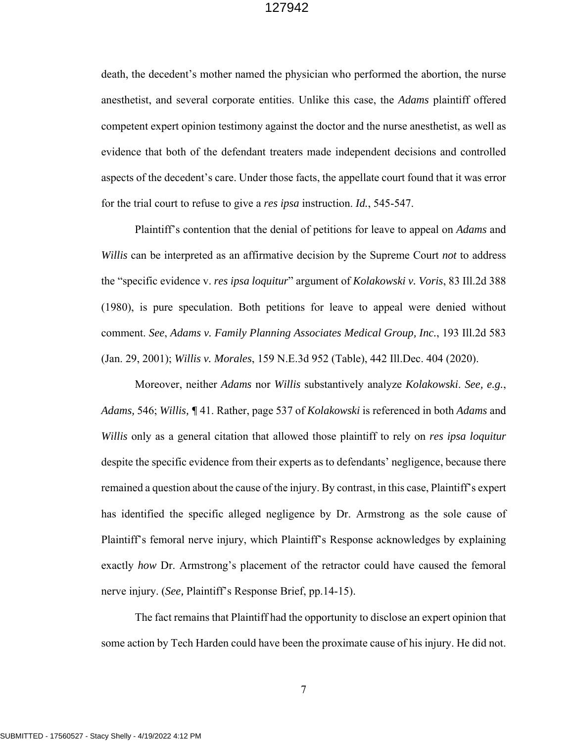death, the decedent's mother named the physician who performed the abortion, the nurse anesthetist, and several corporate entities. Unlike this case, the *Adams* plaintiff offered competent expert opinion testimony against the doctor and the nurse anesthetist, as well as evidence that both of the defendant treaters made independent decisions and controlled aspects of the decedent's care. Under those facts, the appellate court found that it was error for the trial court to refuse to give a *res ipsa* instruction. *Id.*, 545-547.

Plaintiff's contention that the denial of petitions for leave to appeal on *Adams* and *Willis* can be interpreted as an affirmative decision by the Supreme Court *not* to address the "specific evidence v. *res ipsa loquitur*" argument of *Kolakowski v. Voris*, 83 Ill.2d 388 (1980), is pure speculation. Both petitions for leave to appeal were denied without comment. *See*, *Adams v. Family Planning Associates Medical Group, Inc.*, 193 Ill.2d 583 (Jan. 29, 2001); *Willis v. Morales*, 159 N.E.3d 952 (Table), 442 Ill.Dec. 404 (2020).

Moreover, neither *Adams* nor *Willis* substantively analyze *Kolakowski*. *See, e.g.*, *Adams,* 546; *Willis, ¶* 41. Rather, page 537 of *Kolakowski* is referenced in both *Adams* and *Willis* only as a general citation that allowed those plaintiff to rely on *res ipsa loquitur* despite the specific evidence from their experts as to defendants' negligence, because there remained a question about the cause of the injury. By contrast, in this case, Plaintiff's expert has identified the specific alleged negligence by Dr. Armstrong as the sole cause of Plaintiff's femoral nerve injury, which Plaintiff's Response acknowledges by explaining exactly *how* Dr. Armstrong's placement of the retractor could have caused the femoral nerve injury. (*See,* Plaintiff's Response Brief, pp.14-15).

 The fact remains that Plaintiff had the opportunity to disclose an expert opinion that some action by Tech Harden could have been the proximate cause of his injury. He did not.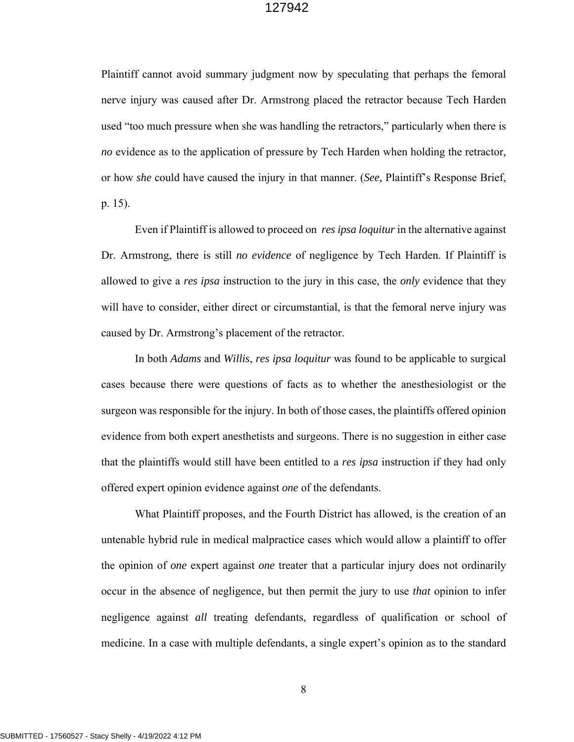Plaintiff cannot avoid summary judgment now by speculating that perhaps the femoral nerve injury was caused after Dr. Armstrong placed the retractor because Tech Harden used "too much pressure when she was handling the retractors," particularly when there is *no* evidence as to the application of pressure by Tech Harden when holding the retractor, or how *she* could have caused the injury in that manner. (*See,* Plaintiff's Response Brief, p. 15).

Even if Plaintiff is allowed to proceed on *res ipsa loquitur* in the alternative against Dr. Armstrong, there is still *no evidence* of negligence by Tech Harden. If Plaintiff is allowed to give a *res ipsa* instruction to the jury in this case, the *only* evidence that they will have to consider, either direct or circumstantial, is that the femoral nerve injury was caused by Dr. Armstrong's placement of the retractor.

In both *Adams* and *Willis*, *res ipsa loquitur* was found to be applicable to surgical cases because there were questions of facts as to whether the anesthesiologist or the surgeon was responsible for the injury. In both of those cases, the plaintiffs offered opinion evidence from both expert anesthetists and surgeons. There is no suggestion in either case that the plaintiffs would still have been entitled to a *res ipsa* instruction if they had only offered expert opinion evidence against *one* of the defendants.

What Plaintiff proposes, and the Fourth District has allowed, is the creation of an untenable hybrid rule in medical malpractice cases which would allow a plaintiff to offer the opinion of *one* expert against *one* treater that a particular injury does not ordinarily occur in the absence of negligence, but then permit the jury to use *that* opinion to infer negligence against *all* treating defendants, regardless of qualification or school of medicine. In a case with multiple defendants, a single expert's opinion as to the standard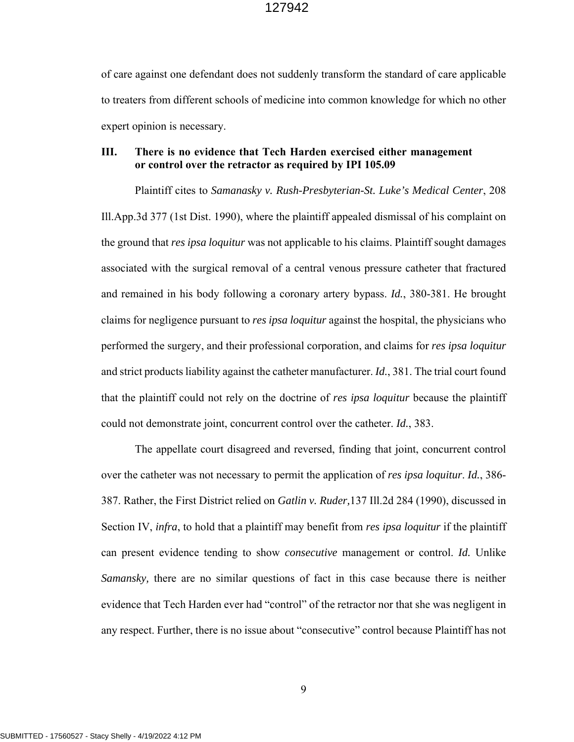of care against one defendant does not suddenly transform the standard of care applicable to treaters from different schools of medicine into common knowledge for which no other expert opinion is necessary.

# **III. There is no evidence that Tech Harden exercised either management or control over the retractor as required by IPI 105.09**

 Plaintiff cites to *Samanasky v. Rush-Presbyterian-St. Luke's Medical Center*, 208 Ill.App.3d 377 (1st Dist. 1990), where the plaintiff appealed dismissal of his complaint on the ground that *res ipsa loquitur* was not applicable to his claims. Plaintiff sought damages associated with the surgical removal of a central venous pressure catheter that fractured and remained in his body following a coronary artery bypass. *Id.*, 380-381. He brought claims for negligence pursuant to *res ipsa loquitur* against the hospital, the physicians who performed the surgery, and their professional corporation, and claims for *res ipsa loquitur*  and strict products liability against the catheter manufacturer. *Id.*, 381. The trial court found that the plaintiff could not rely on the doctrine of *res ipsa loquitur* because the plaintiff could not demonstrate joint, concurrent control over the catheter. *Id.*, 383.

 The appellate court disagreed and reversed, finding that joint, concurrent control over the catheter was not necessary to permit the application of *res ipsa loquitur*. *Id.*, 386- 387. Rather, the First District relied on *Gatlin v. Ruder,*137 Ill.2d 284 (1990), discussed in Section IV, *infra*, to hold that a plaintiff may benefit from *res ipsa loquitur* if the plaintiff can present evidence tending to show *consecutive* management or control. *Id.* Unlike *Samansky,* there are no similar questions of fact in this case because there is neither evidence that Tech Harden ever had "control" of the retractor nor that she was negligent in any respect. Further, there is no issue about "consecutive" control because Plaintiff has not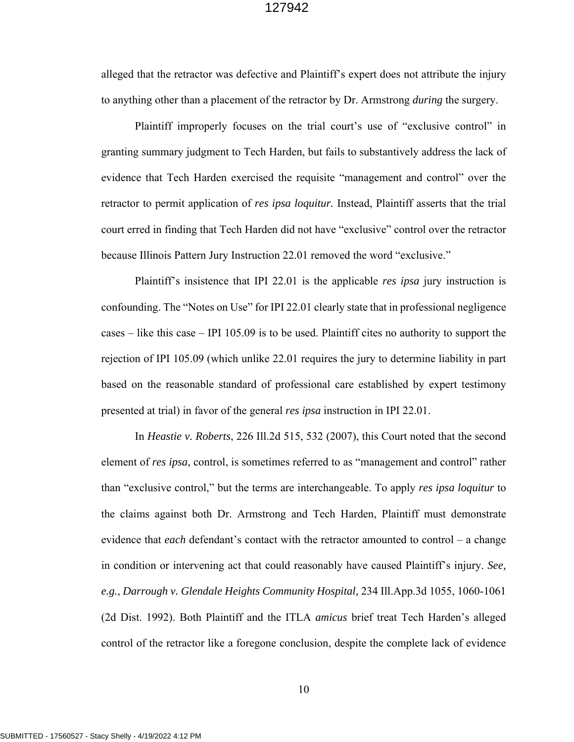alleged that the retractor was defective and Plaintiff's expert does not attribute the injury to anything other than a placement of the retractor by Dr. Armstrong *during* the surgery.

Plaintiff improperly focuses on the trial court's use of "exclusive control" in granting summary judgment to Tech Harden, but fails to substantively address the lack of evidence that Tech Harden exercised the requisite "management and control" over the retractor to permit application of *res ipsa loquitur.* Instead, Plaintiff asserts that the trial court erred in finding that Tech Harden did not have "exclusive" control over the retractor because Illinois Pattern Jury Instruction 22.01 removed the word "exclusive."

Plaintiff's insistence that IPI 22.01 is the applicable *res ipsa* jury instruction is confounding. The "Notes on Use" for IPI 22.01 clearly state that in professional negligence cases – like this case – IPI 105.09 is to be used. Plaintiff cites no authority to support the rejection of IPI 105.09 (which unlike 22.01 requires the jury to determine liability in part based on the reasonable standard of professional care established by expert testimony presented at trial) in favor of the general *res ipsa* instruction in IPI 22.01.

In *Heastie v. Roberts*, 226 Ill.2d 515, 532 (2007), this Court noted that the second element of *res ipsa*, control, is sometimes referred to as "management and control" rather than "exclusive control," but the terms are interchangeable. To apply *res ipsa loquitur* to the claims against both Dr. Armstrong and Tech Harden, Plaintiff must demonstrate evidence that *each* defendant's contact with the retractor amounted to control – a change in condition or intervening act that could reasonably have caused Plaintiff's injury. *See, e.g.*, *Darrough v. Glendale Heights Community Hospital,* 234 Ill.App.3d 1055, 1060-1061 (2d Dist. 1992). Both Plaintiff and the ITLA *amicus* brief treat Tech Harden's alleged control of the retractor like a foregone conclusion, despite the complete lack of evidence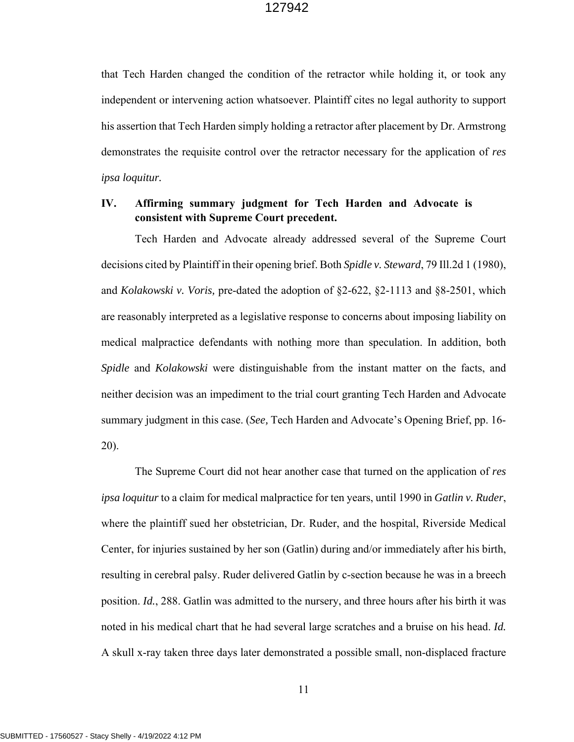that Tech Harden changed the condition of the retractor while holding it, or took any independent or intervening action whatsoever. Plaintiff cites no legal authority to support his assertion that Tech Harden simply holding a retractor after placement by Dr. Armstrong demonstrates the requisite control over the retractor necessary for the application of *res ipsa loquitur.* 

# **IV. Affirming summary judgment for Tech Harden and Advocate is consistent with Supreme Court precedent.**

Tech Harden and Advocate already addressed several of the Supreme Court decisions cited by Plaintiff in their opening brief. Both *Spidle v. Steward*, 79 Ill.2d 1 (1980), and *Kolakowski v. Voris,* pre-dated the adoption of §2-622, §2-1113 and §8-2501, which are reasonably interpreted as a legislative response to concerns about imposing liability on medical malpractice defendants with nothing more than speculation. In addition, both *Spidle* and *Kolakowski* were distinguishable from the instant matter on the facts, and neither decision was an impediment to the trial court granting Tech Harden and Advocate summary judgment in this case. (*See,* Tech Harden and Advocate's Opening Brief, pp. 16- 20).

The Supreme Court did not hear another case that turned on the application of *res ipsa loquitur* to a claim for medical malpractice for ten years, until 1990 in *Gatlin v. Ruder*, where the plaintiff sued her obstetrician, Dr. Ruder, and the hospital, Riverside Medical Center, for injuries sustained by her son (Gatlin) during and/or immediately after his birth, resulting in cerebral palsy. Ruder delivered Gatlin by c-section because he was in a breech position. *Id.*, 288. Gatlin was admitted to the nursery, and three hours after his birth it was noted in his medical chart that he had several large scratches and a bruise on his head. *Id.* A skull x-ray taken three days later demonstrated a possible small, non-displaced fracture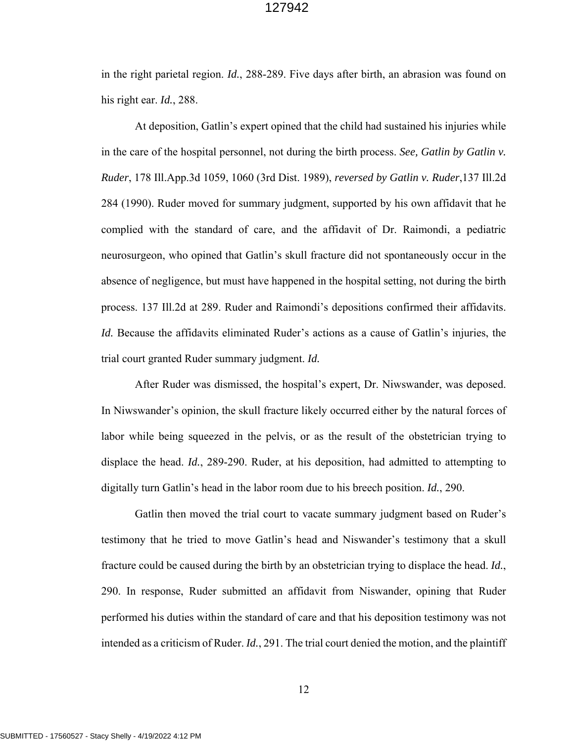in the right parietal region. *Id.*, 288-289. Five days after birth, an abrasion was found on his right ear. *Id.*, 288.

At deposition, Gatlin's expert opined that the child had sustained his injuries while in the care of the hospital personnel, not during the birth process. *See, Gatlin by Gatlin v. Ruder*, 178 Ill.App.3d 1059, 1060 (3rd Dist. 1989), *reversed by Gatlin v. Ruder*,137 Ill.2d 284 (1990). Ruder moved for summary judgment, supported by his own affidavit that he complied with the standard of care, and the affidavit of Dr. Raimondi, a pediatric neurosurgeon, who opined that Gatlin's skull fracture did not spontaneously occur in the absence of negligence, but must have happened in the hospital setting, not during the birth process. 137 Ill.2d at 289. Ruder and Raimondi's depositions confirmed their affidavits. *Id.* Because the affidavits eliminated Ruder's actions as a cause of Gatlin's injuries, the trial court granted Ruder summary judgment. *Id.*

After Ruder was dismissed, the hospital's expert, Dr. Niwswander, was deposed. In Niwswander's opinion, the skull fracture likely occurred either by the natural forces of labor while being squeezed in the pelvis, or as the result of the obstetrician trying to displace the head. *Id.*, 289-290. Ruder, at his deposition, had admitted to attempting to digitally turn Gatlin's head in the labor room due to his breech position. *Id.*, 290.

Gatlin then moved the trial court to vacate summary judgment based on Ruder's testimony that he tried to move Gatlin's head and Niswander's testimony that a skull fracture could be caused during the birth by an obstetrician trying to displace the head. *Id.*, 290. In response, Ruder submitted an affidavit from Niswander, opining that Ruder performed his duties within the standard of care and that his deposition testimony was not intended as a criticism of Ruder. *Id.*, 291. The trial court denied the motion, and the plaintiff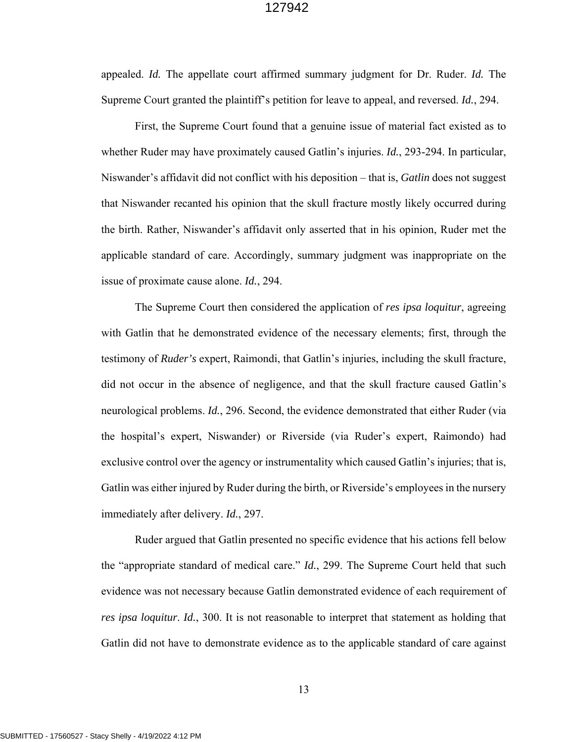appealed. *Id.* The appellate court affirmed summary judgment for Dr. Ruder. *Id.* The Supreme Court granted the plaintiff's petition for leave to appeal, and reversed. *Id.*, 294.

First, the Supreme Court found that a genuine issue of material fact existed as to whether Ruder may have proximately caused Gatlin's injuries. *Id.*, 293-294. In particular, Niswander's affidavit did not conflict with his deposition – that is, *Gatlin* does not suggest that Niswander recanted his opinion that the skull fracture mostly likely occurred during the birth. Rather, Niswander's affidavit only asserted that in his opinion, Ruder met the applicable standard of care. Accordingly, summary judgment was inappropriate on the issue of proximate cause alone. *Id.*, 294.

The Supreme Court then considered the application of *res ipsa loquitur*, agreeing with Gatlin that he demonstrated evidence of the necessary elements; first, through the testimony of *Ruder's* expert, Raimondi, that Gatlin's injuries, including the skull fracture, did not occur in the absence of negligence, and that the skull fracture caused Gatlin's neurological problems. *Id.*, 296. Second, the evidence demonstrated that either Ruder (via the hospital's expert, Niswander) or Riverside (via Ruder's expert, Raimondo) had exclusive control over the agency or instrumentality which caused Gatlin's injuries; that is, Gatlin was either injured by Ruder during the birth, or Riverside's employees in the nursery immediately after delivery. *Id.*, 297.

Ruder argued that Gatlin presented no specific evidence that his actions fell below the "appropriate standard of medical care." *Id.*, 299. The Supreme Court held that such evidence was not necessary because Gatlin demonstrated evidence of each requirement of *res ipsa loquitur*. *Id.*, 300. It is not reasonable to interpret that statement as holding that Gatlin did not have to demonstrate evidence as to the applicable standard of care against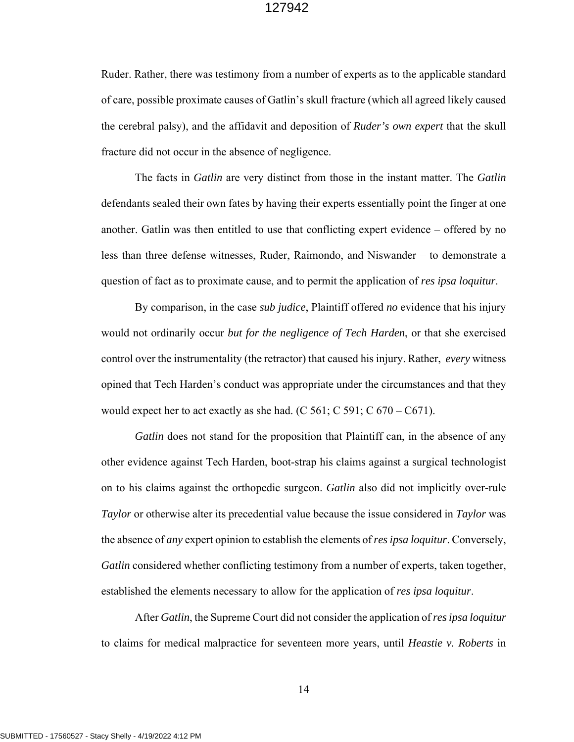Ruder. Rather, there was testimony from a number of experts as to the applicable standard of care, possible proximate causes of Gatlin's skull fracture (which all agreed likely caused the cerebral palsy), and the affidavit and deposition of *Ruder's own expert* that the skull fracture did not occur in the absence of negligence.

The facts in *Gatlin* are very distinct from those in the instant matter. The *Gatlin*  defendants sealed their own fates by having their experts essentially point the finger at one another. Gatlin was then entitled to use that conflicting expert evidence – offered by no less than three defense witnesses, Ruder, Raimondo, and Niswander – to demonstrate a question of fact as to proximate cause, and to permit the application of *res ipsa loquitur*.

By comparison, in the case *sub judice*, Plaintiff offered *no* evidence that his injury would not ordinarily occur *but for the negligence of Tech Harden*, or that she exercised control over the instrumentality (the retractor) that caused his injury. Rather, *every* witness opined that Tech Harden's conduct was appropriate under the circumstances and that they would expect her to act exactly as she had.  $(C 561; C 591; C 670 - C671)$ .

*Gatlin* does not stand for the proposition that Plaintiff can, in the absence of any other evidence against Tech Harden, boot-strap his claims against a surgical technologist on to his claims against the orthopedic surgeon. *Gatlin* also did not implicitly over-rule *Taylor* or otherwise alter its precedential value because the issue considered in *Taylor* was the absence of *any* expert opinion to establish the elements of *res ipsa loquitur*. Conversely, *Gatlin* considered whether conflicting testimony from a number of experts, taken together, established the elements necessary to allow for the application of *res ipsa loquitur*.

After *Gatlin*, the Supreme Court did not consider the application of *res ipsa loquitur* to claims for medical malpractice for seventeen more years, until *Heastie v. Roberts* in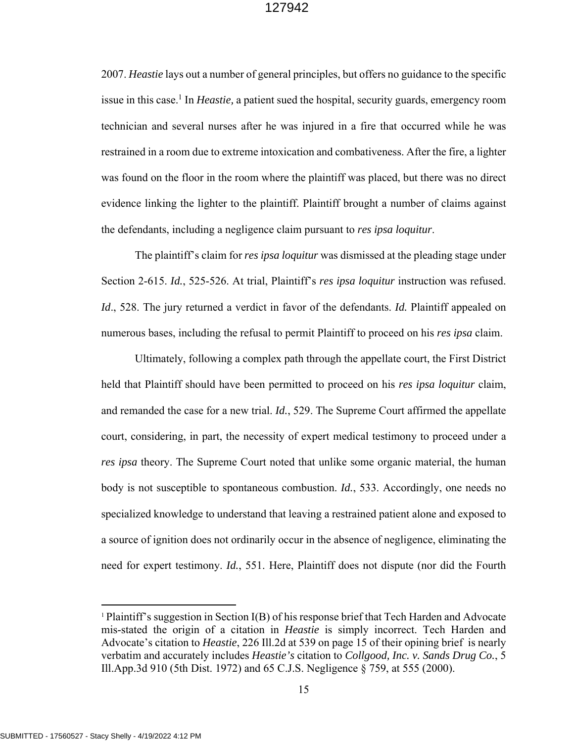2007. *Heastie* lays out a number of general principles, but offers no guidance to the specific issue in this case.<sup>1</sup> In *Heastie*, a patient sued the hospital, security guards, emergency room technician and several nurses after he was injured in a fire that occurred while he was restrained in a room due to extreme intoxication and combativeness. After the fire, a lighter was found on the floor in the room where the plaintiff was placed, but there was no direct evidence linking the lighter to the plaintiff. Plaintiff brought a number of claims against the defendants, including a negligence claim pursuant to *res ipsa loquitur*.

The plaintiff's claim for *res ipsa loquitur* was dismissed at the pleading stage under Section 2-615. *Id.*, 525-526. At trial, Plaintiff's *res ipsa loquitur* instruction was refused. *Id*., 528. The jury returned a verdict in favor of the defendants. *Id.* Plaintiff appealed on numerous bases, including the refusal to permit Plaintiff to proceed on his *res ipsa* claim.

 Ultimately, following a complex path through the appellate court, the First District held that Plaintiff should have been permitted to proceed on his *res ipsa loquitur* claim, and remanded the case for a new trial. *Id.*, 529. The Supreme Court affirmed the appellate court, considering, in part, the necessity of expert medical testimony to proceed under a *res ipsa* theory. The Supreme Court noted that unlike some organic material, the human body is not susceptible to spontaneous combustion. *Id.*, 533. Accordingly, one needs no specialized knowledge to understand that leaving a restrained patient alone and exposed to a source of ignition does not ordinarily occur in the absence of negligence, eliminating the need for expert testimony. *Id.*, 551. Here, Plaintiff does not dispute (nor did the Fourth

<sup>1</sup> Plaintiff's suggestion in Section I(B) of his response brief that Tech Harden and Advocate mis-stated the origin of a citation in *Heastie* is simply incorrect. Tech Harden and Advocate's citation to *Heastie*, 226 Ill.2d at 539 on page 15 of their opining brief is nearly verbatim and accurately includes *Heastie's* citation to *Collgood, Inc. v. Sands Drug Co.*, 5 Ill.App.3d 910 (5th Dist. 1972) and 65 C.J.S. Negligence § 759, at 555 (2000).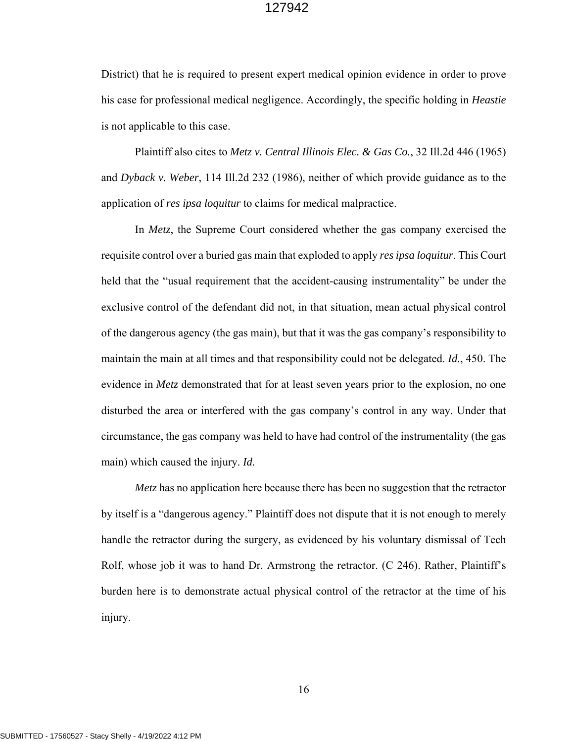District) that he is required to present expert medical opinion evidence in order to prove his case for professional medical negligence. Accordingly, the specific holding in *Heastie* is not applicable to this case.

Plaintiff also cites to *Metz v. Central Illinois Elec. & Gas Co.*, 32 Ill.2d 446 (1965) and *Dyback v. Weber*, 114 Ill.2d 232 (1986), neither of which provide guidance as to the application of *res ipsa loquitur* to claims for medical malpractice.

In *Metz*, the Supreme Court considered whether the gas company exercised the requisite control over a buried gas main that exploded to apply *res ipsa loquitur*. This Court held that the "usual requirement that the accident-causing instrumentality" be under the exclusive control of the defendant did not, in that situation, mean actual physical control of the dangerous agency (the gas main), but that it was the gas company's responsibility to maintain the main at all times and that responsibility could not be delegated. *Id.*, 450. The evidence in *Metz* demonstrated that for at least seven years prior to the explosion, no one disturbed the area or interfered with the gas company's control in any way. Under that circumstance, the gas company was held to have had control of the instrumentality (the gas main) which caused the injury. *Id.* 

*Metz* has no application here because there has been no suggestion that the retractor by itself is a "dangerous agency." Plaintiff does not dispute that it is not enough to merely handle the retractor during the surgery, as evidenced by his voluntary dismissal of Tech Rolf, whose job it was to hand Dr. Armstrong the retractor. (C 246). Rather, Plaintiff's burden here is to demonstrate actual physical control of the retractor at the time of his injury.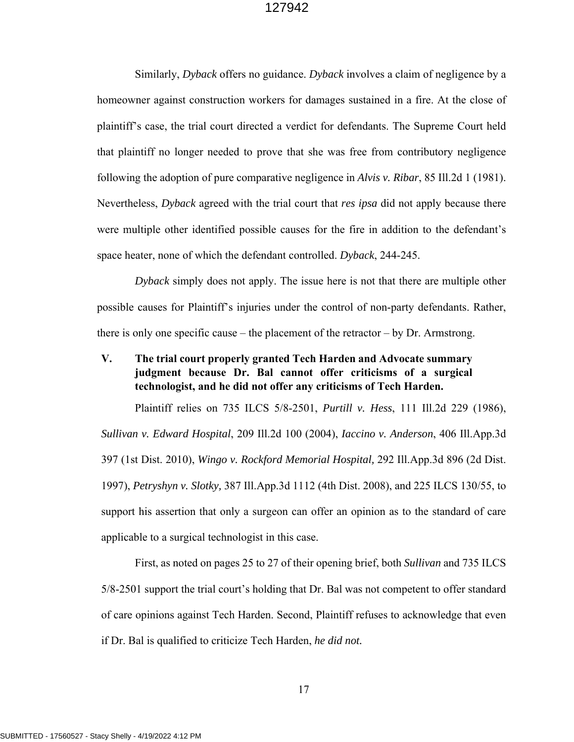Similarly, *Dyback* offers no guidance. *Dyback* involves a claim of negligence by a homeowner against construction workers for damages sustained in a fire. At the close of plaintiff's case, the trial court directed a verdict for defendants. The Supreme Court held that plaintiff no longer needed to prove that she was free from contributory negligence following the adoption of pure comparative negligence in *Alvis v. Ribar*, 85 Ill.2d 1 (1981). Nevertheless, *Dyback* agreed with the trial court that *res ipsa* did not apply because there were multiple other identified possible causes for the fire in addition to the defendant's space heater, none of which the defendant controlled. *Dyback*, 244-245.

*Dyback* simply does not apply. The issue here is not that there are multiple other possible causes for Plaintiff's injuries under the control of non-party defendants. Rather, there is only one specific cause – the placement of the retractor – by Dr. Armstrong.

# **V. The trial court properly granted Tech Harden and Advocate summary judgment because Dr. Bal cannot offer criticisms of a surgical technologist, and he did not offer any criticisms of Tech Harden.**

Plaintiff relies on 735 ILCS 5/8-2501, *Purtill v. Hess*, 111 Ill.2d 229 (1986), *Sullivan v. Edward Hospital*, 209 Ill.2d 100 (2004), *Iaccino v. Anderson*, 406 Ill.App.3d 397 (1st Dist. 2010), *Wingo v. Rockford Memorial Hospital,* 292 Ill.App.3d 896 (2d Dist. 1997), *Petryshyn v. Slotky,* 387 Ill.App.3d 1112 (4th Dist. 2008), and 225 ILCS 130/55, to support his assertion that only a surgeon can offer an opinion as to the standard of care applicable to a surgical technologist in this case.

First, as noted on pages 25 to 27 of their opening brief, both *Sullivan* and 735 ILCS 5/8-2501 support the trial court's holding that Dr. Bal was not competent to offer standard of care opinions against Tech Harden. Second, Plaintiff refuses to acknowledge that even if Dr. Bal is qualified to criticize Tech Harden, *he did not.*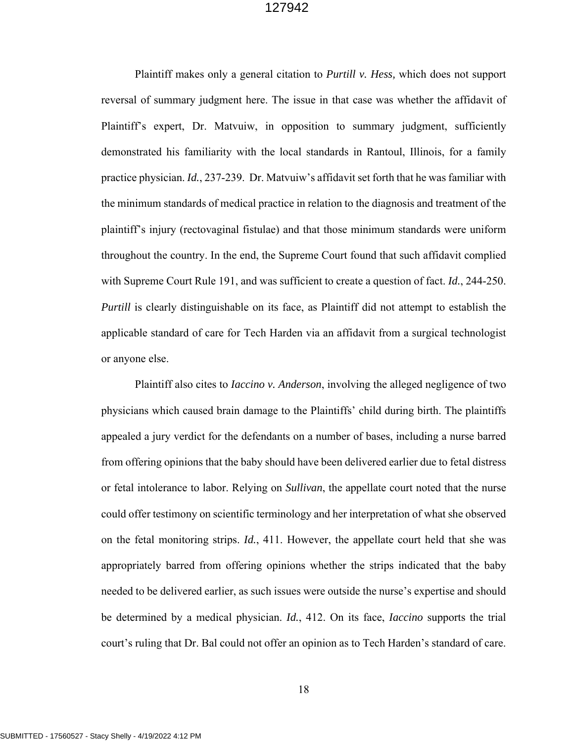Plaintiff makes only a general citation to *Purtill v. Hess,* which does not support reversal of summary judgment here. The issue in that case was whether the affidavit of Plaintiff's expert, Dr. Matvuiw, in opposition to summary judgment, sufficiently demonstrated his familiarity with the local standards in Rantoul, Illinois, for a family practice physician. *Id.*, 237-239. Dr. Matvuiw's affidavit set forth that he was familiar with the minimum standards of medical practice in relation to the diagnosis and treatment of the plaintiff's injury (rectovaginal fistulae) and that those minimum standards were uniform throughout the country. In the end, the Supreme Court found that such affidavit complied with Supreme Court Rule 191, and was sufficient to create a question of fact. *Id.*, 244-250. *Purtill* is clearly distinguishable on its face, as Plaintiff did not attempt to establish the applicable standard of care for Tech Harden via an affidavit from a surgical technologist or anyone else.

Plaintiff also cites to *Iaccino v. Anderson*, involving the alleged negligence of two physicians which caused brain damage to the Plaintiffs' child during birth. The plaintiffs appealed a jury verdict for the defendants on a number of bases, including a nurse barred from offering opinions that the baby should have been delivered earlier due to fetal distress or fetal intolerance to labor. Relying on *Sullivan*, the appellate court noted that the nurse could offer testimony on scientific terminology and her interpretation of what she observed on the fetal monitoring strips. *Id.*, 411. However, the appellate court held that she was appropriately barred from offering opinions whether the strips indicated that the baby needed to be delivered earlier, as such issues were outside the nurse's expertise and should be determined by a medical physician. *Id.*, 412. On its face, *Iaccino* supports the trial court's ruling that Dr. Bal could not offer an opinion as to Tech Harden's standard of care.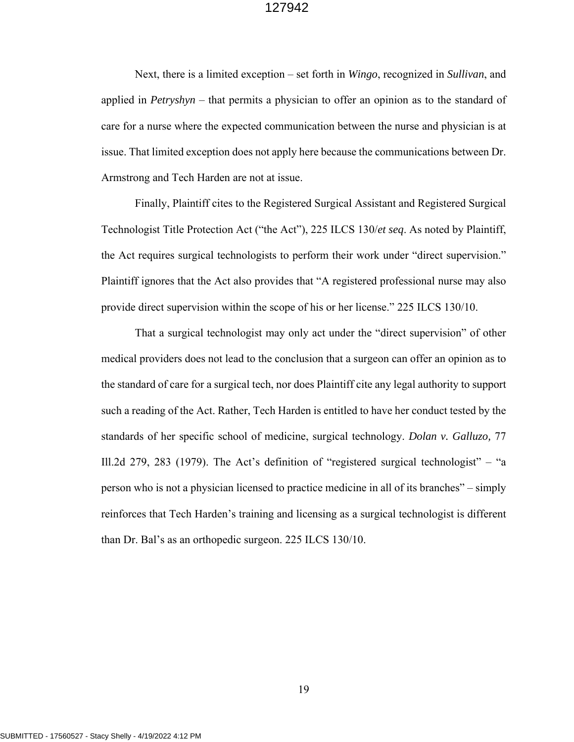Next, there is a limited exception – set forth in *Wingo*, recognized in *Sullivan*, and applied in *Petryshyn* – that permits a physician to offer an opinion as to the standard of care for a nurse where the expected communication between the nurse and physician is at issue. That limited exception does not apply here because the communications between Dr. Armstrong and Tech Harden are not at issue.

Finally, Plaintiff cites to the Registered Surgical Assistant and Registered Surgical Technologist Title Protection Act ("the Act"), 225 ILCS 130/*et seq*. As noted by Plaintiff, the Act requires surgical technologists to perform their work under "direct supervision." Plaintiff ignores that the Act also provides that "A registered professional nurse may also provide direct supervision within the scope of his or her license." 225 ILCS 130/10.

That a surgical technologist may only act under the "direct supervision" of other medical providers does not lead to the conclusion that a surgeon can offer an opinion as to the standard of care for a surgical tech, nor does Plaintiff cite any legal authority to support such a reading of the Act. Rather, Tech Harden is entitled to have her conduct tested by the standards of her specific school of medicine, surgical technology. *Dolan v. Galluzo,* 77 Ill.2d 279, 283 (1979). The Act's definition of "registered surgical technologist" – "a person who is not a physician licensed to practice medicine in all of its branches" – simply reinforces that Tech Harden's training and licensing as a surgical technologist is different than Dr. Bal's as an orthopedic surgeon. 225 ILCS 130/10.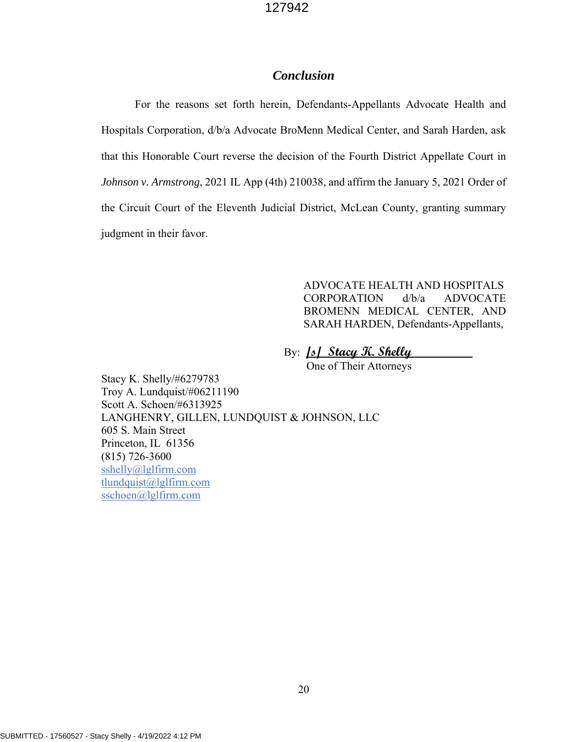# *Conclusion*

For the reasons set forth herein, Defendants-Appellants Advocate Health and Hospitals Corporation, d/b/a Advocate BroMenn Medical Center, and Sarah Harden, ask that this Honorable Court reverse the decision of the Fourth District Appellate Court in *Johnson v. Armstrong*, 2021 IL App (4th) 210038, and affirm the January 5, 2021 Order of the Circuit Court of the Eleventh Judicial District, McLean County, granting summary judgment in their favor.

> ADVOCATE HEALTH AND HOSPITALS CORPORATION d/b/a ADVOCATE BROMENN MEDICAL CENTER, AND SARAH HARDEN, Defendants-Appellants,

# By: **/s/ Stacy K. Shelly**

One of Their Attorneys

Stacy K. Shelly/#6279783 Troy A. Lundquist/#06211190 Scott A. Schoen/#6313925 LANGHENRY, GILLEN, LUNDQUIST & JOHNSON, LLC 605 S. Main Street Princeton, IL 61356 (815) 726-3600 sshelly@lglfirm.com tlundquist@lglfirm.com sschoen@lglfirm.com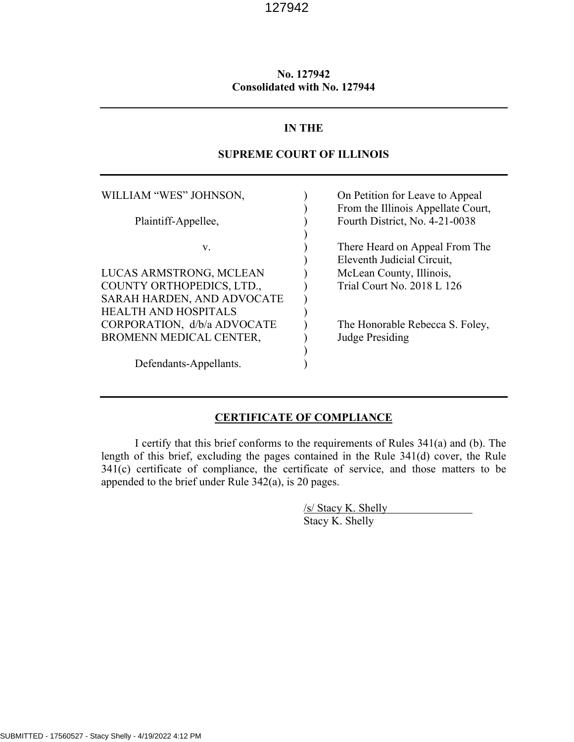# **No. 127942 Consolidated with No. 127944**

# **IN THE**

# **SUPREME COURT OF ILLINOIS**

| On Petition for Leave to Appeal<br>From the Illinois Appellate Court, |
|-----------------------------------------------------------------------|
| Fourth District, No. 4-21-0038                                        |
| There Heard on Appeal From The<br>Eleventh Judicial Circuit,          |
| McLean County, Illinois,                                              |
| Trial Court No. 2018 L 126                                            |
|                                                                       |
|                                                                       |
| The Honorable Rebecca S. Foley,                                       |
| <b>Judge Presiding</b>                                                |
|                                                                       |
|                                                                       |
|                                                                       |

# **CERTIFICATE OF COMPLIANCE**

I certify that this brief conforms to the requirements of Rules 341(a) and (b). The length of this brief, excluding the pages contained in the Rule 341(d) cover, the Rule 341(c) certificate of compliance, the certificate of service, and those matters to be appended to the brief under Rule 342(a), is 20 pages.

> /s/ Stacy K. Shelly Stacy K. Shelly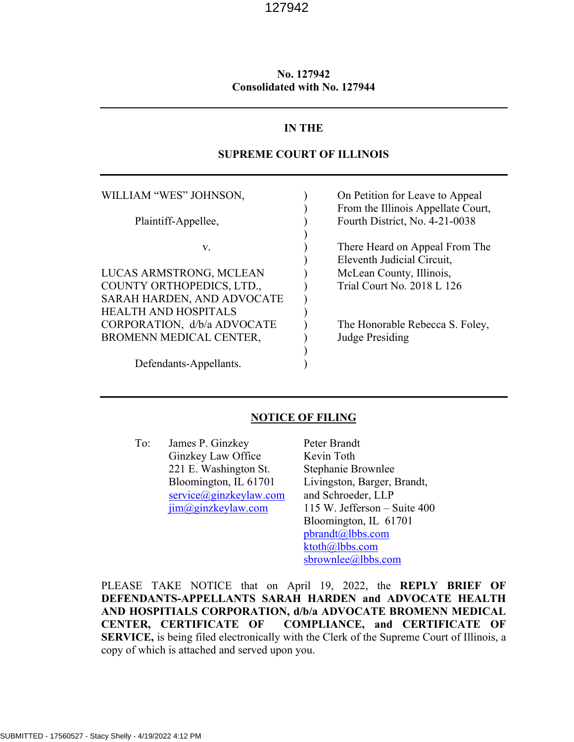# **No. 127942 Consolidated with No. 127944**

## **IN THE**

# **SUPREME COURT OF ILLINOIS**

WILLIAM "WES" JOHNSON,  $\qquad \qquad$  On Petition for Leave to Appeal ) From the Illinois Appellate Court, Plaintiff-Appellee,  $\overline{}$  Fourth District, No. 4-21-0038  $)$ v. (a) There Heard on Appeal From The ) Eleventh Judicial Circuit, LUCAS ARMSTRONG, MCLEAN ) McLean County, Illinois, COUNTY ORTHOPEDICS, LTD., Trial Court No. 2018 L 126 SARAH HARDEN, AND ADVOCATE ) HEALTH AND HOSPITALS ) CORPORATION, d/b/a ADVOCATE ) The Honorable Rebecca S. Foley, BROMENN MEDICAL CENTER, Sudge Presiding  $)$ Defendants-Appellants. (1)

## **NOTICE OF FILING**

To: James P. Ginzkey Peter Brandt Ginzkey Law Office Kevin Toth 221 E. Washington St. Stephanie Brownlee  $s$ ervice $@$ ginzkeylaw.com and Schroeder, LLP

Bloomington, IL 61701 Livingston, Barger, Brandt,  $\lim_{\text{eq}}$ ginzkeylaw.com 115 W. Jefferson – Suite 400 Bloomington, IL 61701 pbrandt@lbbs.com ktoth@lbbs.com sbrownlee@lbbs.com

PLEASE TAKE NOTICE that on April 19, 2022, the **REPLY BRIEF OF DEFENDANTS-APPELLANTS SARAH HARDEN and ADVOCATE HEALTH AND HOSPITIALS CORPORATION, d/b/a ADVOCATE BROMENN MEDICAL CENTER, CERTIFICATE OF COMPLIANCE, and CERTIFICATE OF SERVICE,** is being filed electronically with the Clerk of the Supreme Court of Illinois, a copy of which is attached and served upon you.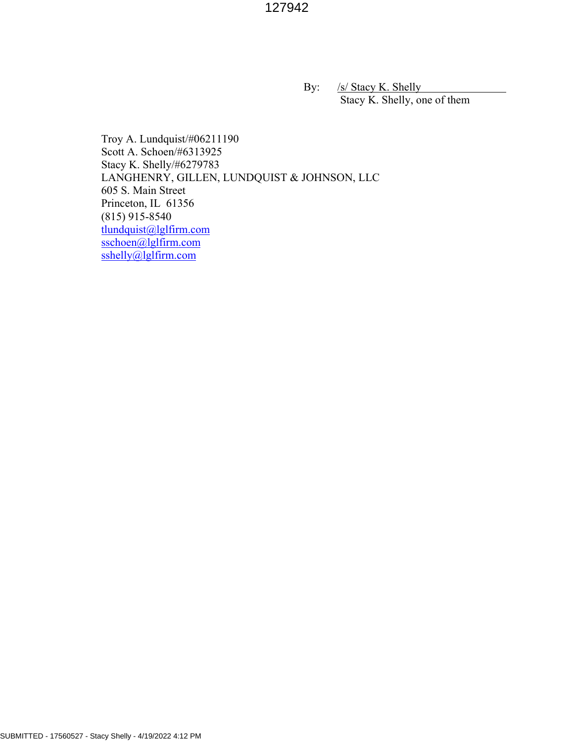By: /s/ Stacy K. Shelly Stacy K. Shelly, one of them

Troy A. Lundquist/#06211190 Scott A. Schoen/#6313925 Stacy K. Shelly/#6279783 LANGHENRY, GILLEN, LUNDQUIST & JOHNSON, LLC 605 S. Main Street Princeton, IL 61356 (815) 915-8540 tlundquist@lglfirm.com sschoen@lglfirm.com  $sshelly@lglfirm.com$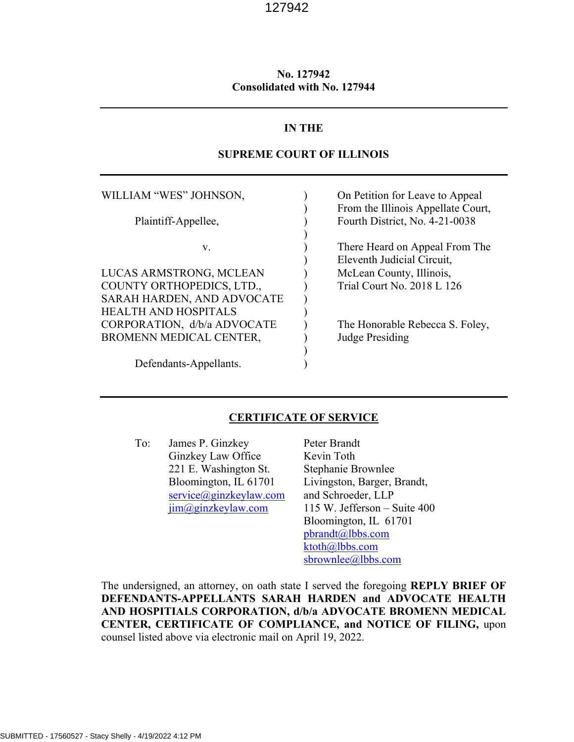# **No. 127942 Consolidated with No. 127944**

# **IN THE**

## **SUPREME COURT OF ILLINOIS**

WILLIAM "WES" JOHNSON,  $\qquad \qquad$  On Petition for Leave to Appeal ) From the Illinois Appellate Court, Plaintiff-Appellee,  $\overline{}$  Fourth District, No. 4-21-0038  $)$ v. (a) There Heard on Appeal From The ) Eleventh Judicial Circuit, LUCAS ARMSTRONG, MCLEAN ) McLean County, Illinois, COUNTY ORTHOPEDICS, LTD., Trial Court No. 2018 L 126 SARAH HARDEN, AND ADVOCATE HEALTH AND HOSPITALS ) CORPORATION, d/b/a ADVOCATE ) The Honorable Rebecca S. Foley, BROMENN MEDICAL CENTER, Sudge Presiding  $)$ Defendants-Appellants.

## **CERTIFICATE OF SERVICE**

To: James P. Ginzkey Peter Brandt Ginzkey Law Office Kevin Toth 221 E. Washington St. Stephanie Brownlee<br>Bloomington, IL 61701 Livingston, Barger, l  $s$ ervice $@$ ginzkeylaw.com and Schroeder, LLP

Livingston, Barger, Brandt,  $\lim_{\text{eq}}$ ginzkeylaw.com 115 W. Jefferson – Suite 400 Bloomington, IL 61701 pbrandt@lbbs.com ktoth@lbbs.com sbrownlee@lbbs.com

The undersigned, an attorney, on oath state I served the foregoing **REPLY BRIEF OF DEFENDANTS-APPELLANTS SARAH HARDEN and ADVOCATE HEALTH AND HOSPITIALS CORPORATION, d/b/a ADVOCATE BROMENN MEDICAL CENTER, CERTIFICATE OF COMPLIANCE, and NOTICE OF FILING,** upon counsel listed above via electronic mail on April 19, 2022.